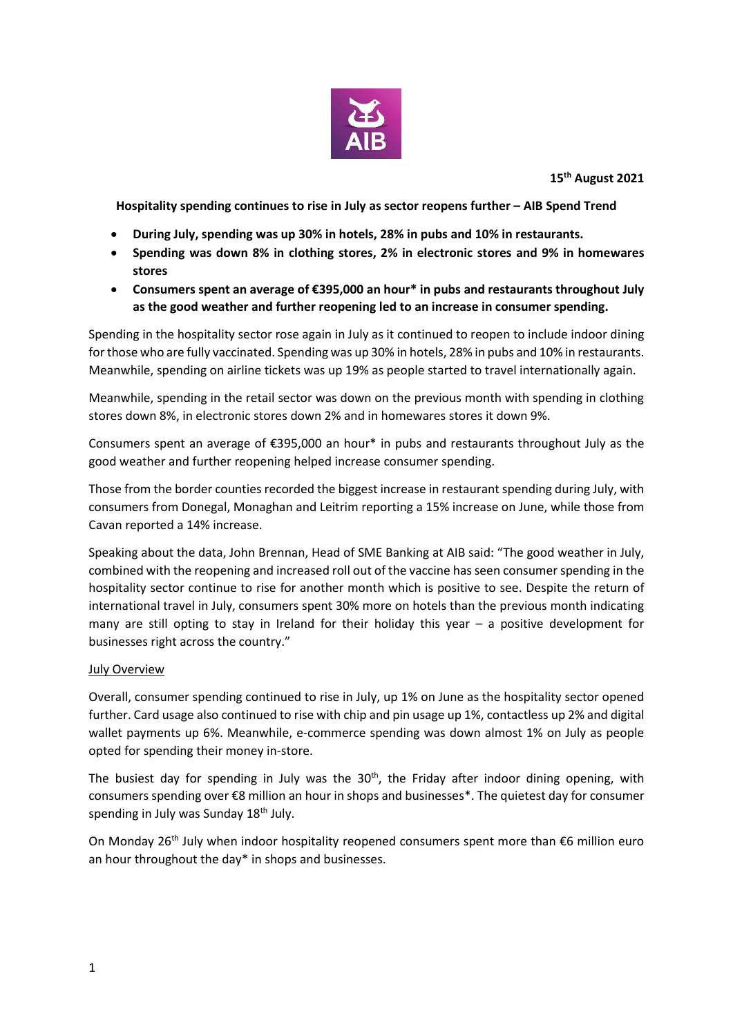

**15th August 2021**

**Hospitality spending continues to rise in July as sector reopens further – AIB Spend Trend**

- **During July, spending was up 30% in hotels, 28% in pubs and 10% in restaurants.**
- **Spending was down 8% in clothing stores, 2% in electronic stores and 9% in homewares stores**
- **Consumers spent an average of €395,000 an hour\* in pubs and restaurants throughout July as the good weather and further reopening led to an increase in consumer spending.**

Spending in the hospitality sector rose again in July as it continued to reopen to include indoor dining for those who are fully vaccinated. Spending was up 30% in hotels, 28% in pubs and 10% in restaurants. Meanwhile, spending on airline tickets was up 19% as people started to travel internationally again.

Meanwhile, spending in the retail sector was down on the previous month with spending in clothing stores down 8%, in electronic stores down 2% and in homewares stores it down 9%.

Consumers spent an average of €395,000 an hour\* in pubs and restaurants throughout July as the good weather and further reopening helped increase consumer spending.

Those from the border counties recorded the biggest increase in restaurant spending during July, with consumers from Donegal, Monaghan and Leitrim reporting a 15% increase on June, while those from Cavan reported a 14% increase.

Speaking about the data, John Brennan, Head of SME Banking at AIB said: "The good weather in July, combined with the reopening and increased roll out of the vaccine has seen consumer spending in the hospitality sector continue to rise for another month which is positive to see. Despite the return of international travel in July, consumers spent 30% more on hotels than the previous month indicating many are still opting to stay in Ireland for their holiday this year – a positive development for businesses right across the country."

## July Overview

Overall, consumer spending continued to rise in July, up 1% on June as the hospitality sector opened further. Card usage also continued to rise with chip and pin usage up 1%, contactless up 2% and digital wallet payments up 6%. Meanwhile, e-commerce spending was down almost 1% on July as people opted for spending their money in-store.

The busiest day for spending in July was the  $30<sup>th</sup>$ , the Friday after indoor dining opening, with consumers spending over €8 million an hour in shops and businesses\*. The quietest day for consumer spending in July was Sunday 18<sup>th</sup> July.

On Monday 26<sup>th</sup> July when indoor hospitality reopened consumers spent more than  $\epsilon$ 6 million euro an hour throughout the day\* in shops and businesses.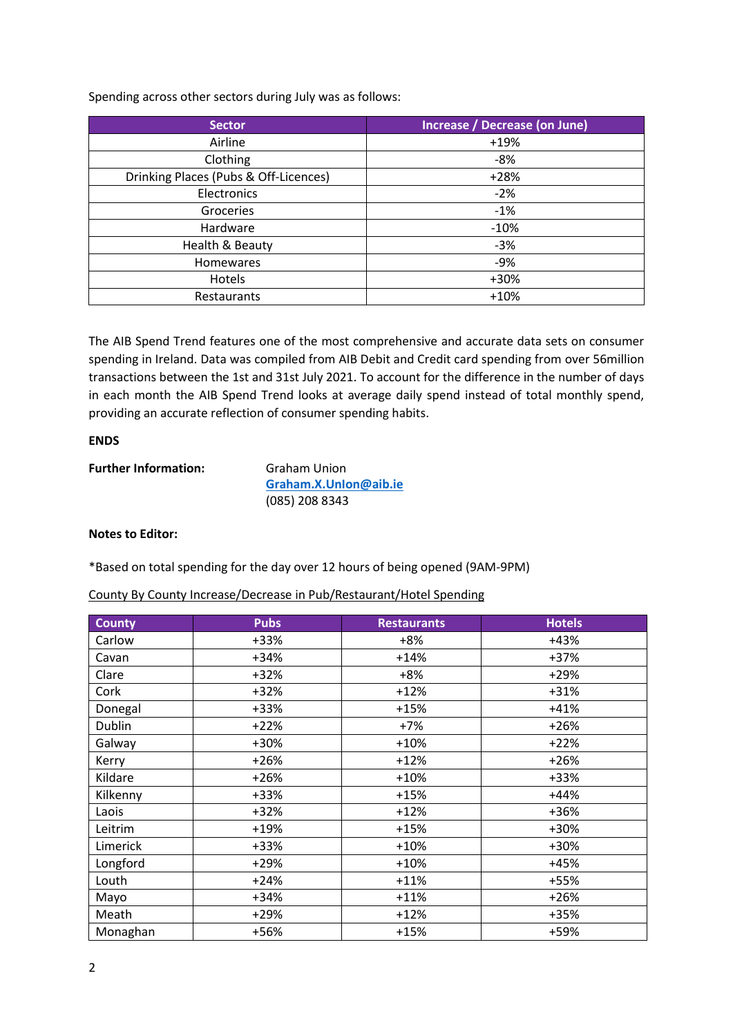Spending across other sectors during July was as follows:

| Sector                                | Increase / Decrease (on June) |
|---------------------------------------|-------------------------------|
| Airline                               | $+19%$                        |
| Clothing                              | -8%                           |
| Drinking Places (Pubs & Off-Licences) | $+28%$                        |
| Electronics                           | $-2%$                         |
| Groceries                             | $-1%$                         |
| Hardware                              | $-10%$                        |
| Health & Beauty                       | $-3%$                         |
| Homewares                             | -9%                           |
| Hotels                                | +30%                          |
| Restaurants                           | $+10%$                        |

The AIB Spend Trend features one of the most comprehensive and accurate data sets on consumer spending in Ireland. Data was compiled from AIB Debit and Credit card spending from over 56million transactions between the 1st and 31st July 2021. To account for the difference in the number of days in each month the AIB Spend Trend looks at average daily spend instead of total monthly spend, providing an accurate reflection of consumer spending habits.

## **ENDS**

| <b>Further Information:</b> | Graham Union          |  |
|-----------------------------|-----------------------|--|
|                             | Graham.X.Unlon@aib.ie |  |
|                             | (085) 208 8343        |  |

## **Notes to Editor:**

\*Based on total spending for the day over 12 hours of being opened (9AM-9PM)

| County By County Increase/Decrease in Pub/Restaurant/Hotel Spending |  |  |  |  |
|---------------------------------------------------------------------|--|--|--|--|
|---------------------------------------------------------------------|--|--|--|--|

| <b>County</b> | <b>Pubs</b> | <b>Restaurants</b> | <b>Hotels</b> |
|---------------|-------------|--------------------|---------------|
| Carlow        | +33%        | $+8%$              | $+43%$        |
| Cavan         | $+34%$      | $+14%$             | $+37%$        |
| Clare         | $+32%$      | $+8%$              | $+29%$        |
| Cork          | $+32%$      | $+12%$             | $+31%$        |
| Donegal       | +33%        | $+15%$             | $+41%$        |
| Dublin        | $+22%$      | $+7%$              | $+26%$        |
| Galway        | +30%        | $+10%$             | $+22%$        |
| Kerry         | $+26%$      | $+12%$             | $+26%$        |
| Kildare       | $+26%$      | $+10%$             | +33%          |
| Kilkenny      | +33%        | $+15%$             | $+44%$        |
| Laois         | $+32%$      | $+12%$             | +36%          |
| Leitrim       | $+19%$      | $+15%$             | +30%          |
| Limerick      | +33%        | $+10%$             | +30%          |
| Longford      | $+29%$      | $+10%$             | $+45%$        |
| Louth         | $+24%$      | $+11%$             | +55%          |
| Mayo          | $+34%$      | $+11%$             | $+26%$        |
| Meath         | $+29%$      | $+12%$             | +35%          |
| Monaghan      | +56%        | $+15%$             | +59%          |